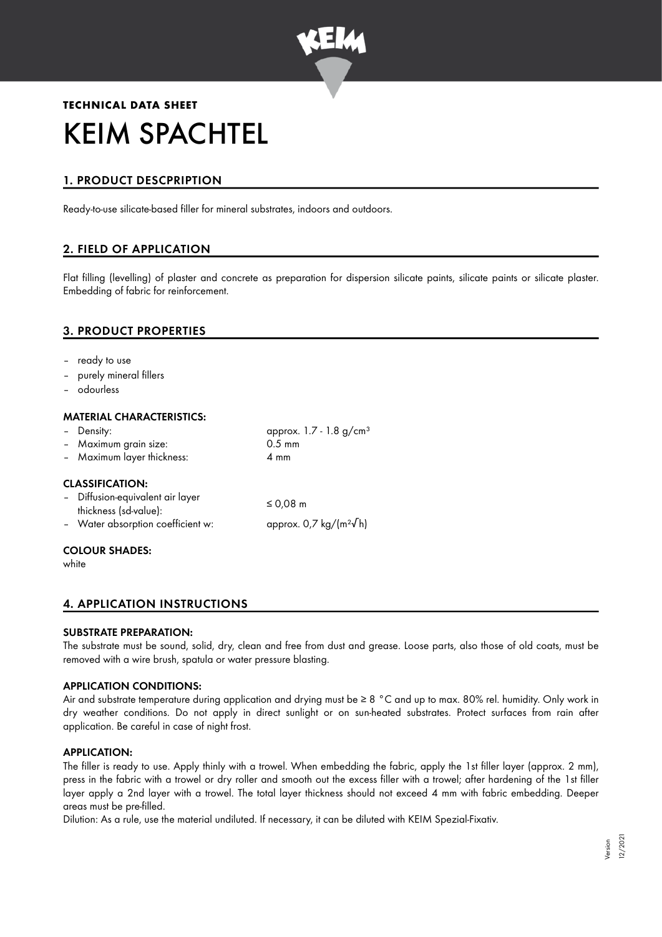

# **TECHNICAL DATA SHEET** KEIM SPACHTEL

# 1. PRODUCT DESCPRIPTION

Ready-to-use silicate-based filler for mineral substrates, indoors and outdoors.

# 2. FIELD OF APPLICATION

Flat filling (levelling) of plaster and concrete as preparation for dispersion silicate paints, silicate paints or silicate plaster. Embedding of fabric for reinforcement.

# 3. PRODUCT PROPERTIES

- ready to use
- purely mineral fillers
- odourless

# MATERIAL CHARACTERISTICS:

| - Density:                                                | approx. 1.7 - 1.8 g/cm <sup>3</sup> |
|-----------------------------------------------------------|-------------------------------------|
| - Maximum grain size:                                     | $0.5 \text{ mm}$                    |
| - Maximum layer thickness:                                | $4 \text{ mm}$                      |
| <b>CLASSIFICATION:</b>                                    |                                     |
| - Diffusion-equivalent air layer<br>thickness (sd-value): | ≤ 0,08 $m$                          |
| - Water absorption coefficient w:                         | approx. 0,7 kg/( $m^2\sqrt{h}$ )    |
| . <i>.</i>                                                |                                     |

# COLOUR SHADES:

white

# 4. APPLICATION INSTRUCTIONS

## SUBSTRATE PREPARATION:

The substrate must be sound, solid, dry, clean and free from dust and grease. Loose parts, also those of old coats, must be removed with a wire brush, spatula or water pressure blasting.

## APPLICATION CONDITIONS:

Air and substrate temperature during application and drying must be ≥ 8 °C and up to max. 80% rel. humidity. Only work in dry weather conditions. Do not apply in direct sunlight or on sun-heated substrates. Protect surfaces from rain after application. Be careful in case of night frost.

## APPLICATION:

The filler is ready to use. Apply thinly with a trowel. When embedding the fabric, apply the 1st filler layer (approx. 2 mm), press in the fabric with a trowel or dry roller and smooth out the excess filler with a trowel; after hardening of the 1st filler layer apply a 2nd layer with a trowel. The total layer thickness should not exceed 4 mm with fabric embedding. Deeper areas must be pre-filled.

Dilution: As a rule, use the material undiluted. If necessary, it can be diluted with KEIM Spezial-Fixativ.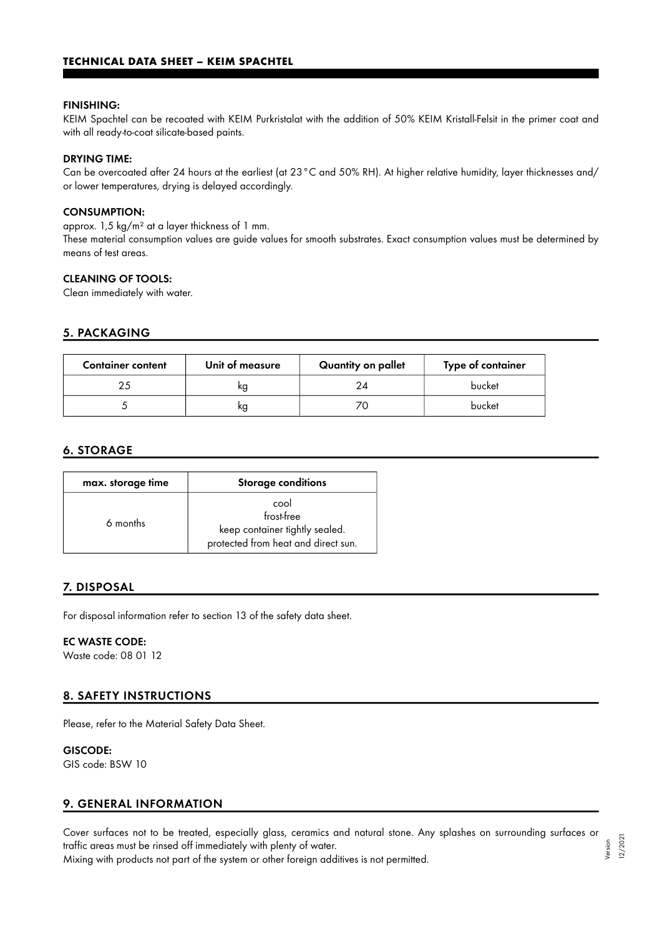#### FINISHING:

KEIM Spachtel can be recoated with KEIM Purkristalat with the addition of 50% KEIM Kristall-Felsit in the primer coat and with all ready-to-coat silicate-based paints.

#### DRYING TIME:

Can be overcoated after 24 hours at the earliest (at 23°C and 50% RH). At higher relative humidity, layer thicknesses and/ or lower temperatures, drying is delayed accordingly.

#### CONSUMPTION:

approx. 1,5 kg/m² at a layer thickness of 1 mm.

These material consumption values are guide values for smooth substrates. Exact consumption values must be determined by means of test areas.

# CLEANING OF TOOLS:

Clean immediately with water.

#### 5. PACKAGING

| <b>Container content</b> | Unit of measure | Quantity on pallet | Type of container |
|--------------------------|-----------------|--------------------|-------------------|
|                          | ĸg              | 24                 | bucket            |
|                          | кg              |                    | bucket            |

## 6. STORAGE

| max. storage time | <b>Storage conditions</b>                                                                   |
|-------------------|---------------------------------------------------------------------------------------------|
| 6 months          | cool<br>frost-free<br>keep container tightly sealed.<br>protected from heat and direct sun. |

#### 7. DISPOSAL

For disposal information refer to section 13 of the safety data sheet.

# EC WASTE CODE:

Waste code: 08 01 12

## 8. SAFETY INSTRUCTIONS

Please, refer to the Material Safety Data Sheet.

# GISCODE:

GIS code: BSW 10

# 9. GENERAL INFORMATION

Cover surfaces not to be treated, especially glass, ceramics and natural stone. Any splashes on surrounding surfaces or traffic areas must be rinsed off immediately with plenty of water. Version

Mixing with products not part of the system or other foreign additives is not permitted.